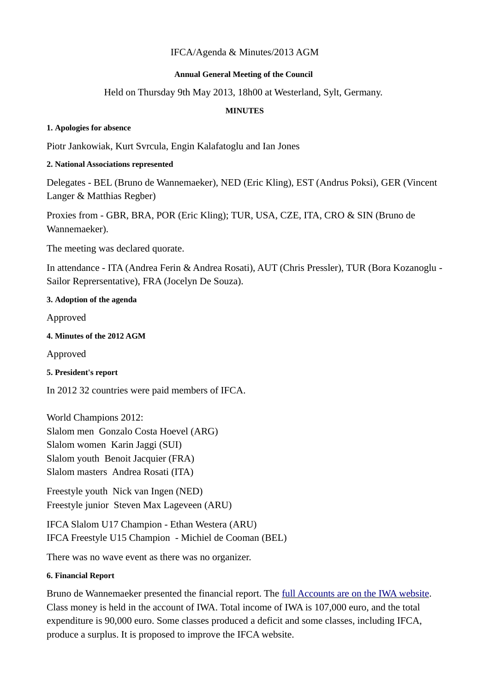# IFCA/Agenda & Minutes/2013 AGM

#### **Annual General Meeting of the Council**

### Held on Thursday 9th May 2013, 18h00 at Westerland, Sylt, Germany.

#### **MINUTES**

#### **1. Apologies for absence**

Piotr Jankowiak, Kurt Svrcula, Engin Kalafatoglu and Ian Jones

### **2. National Associations represented**

Delegates - BEL (Bruno de Wannemaeker), NED (Eric Kling), EST (Andrus Poksi), GER (Vincent Langer & Matthias Regber)

Proxies from - GBR, BRA, POR (Eric Kling); TUR, USA, CZE, ITA, CRO & SIN (Bruno de Wannemaeker).

The meeting was declared quorate.

In attendance - ITA (Andrea Ferin & Andrea Rosati), AUT (Chris Pressler), TUR (Bora Kozanoglu - Sailor Reprersentative), FRA (Jocelyn De Souza).

### **3. Adoption of the agenda**

Approved

**4. Minutes of the 2012 AGM** 

Approved

**5. President's report**

In 2012 32 countries were paid members of IFCA.

World Champions 2012: Slalom men Gonzalo Costa Hoevel (ARG) Slalom women Karin Jaggi (SUI) Slalom youth Benoit Jacquier (FRA) Slalom masters Andrea Rosati (ITA)

Freestyle youth Nick van Ingen (NED) Freestyle junior Steven Max Lageveen (ARU)

IFCA Slalom U17 Champion - Ethan Westera (ARU) IFCA Freestyle U15 Champion - Michiel de Cooman (BEL)

There was no wave event as there was no organizer.

### **6. Financial Report**

Bruno de Wannemaeker presented the financial report. The [full Accounts are on the IWA website.](http://www.internationalwindsurfing.com/userfiles/documents/Mngmnt_acs_2012_draft.pdf) Class money is held in the account of IWA. Total income of IWA is 107,000 euro, and the total expenditure is 90,000 euro. Some classes produced a deficit and some classes, including IFCA, produce a surplus. It is proposed to improve the IFCA website.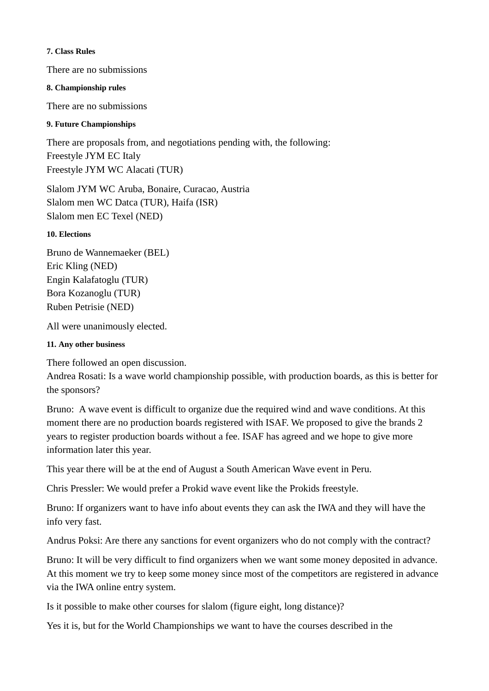#### **7. Class Rules**

There are no submissions

### **8. Championship rules**

There are no submissions

## **9. Future Championships**

There are proposals from, and negotiations pending with, the following: Freestyle JYM EC Italy Freestyle JYM WC Alacati (TUR)

Slalom JYM WC Aruba, Bonaire, Curacao, Austria Slalom men WC Datca (TUR), Haifa (ISR) Slalom men EC Texel (NED)

### **10. Elections**

Bruno de Wannemaeker (BEL) Eric Kling (NED) Engin Kalafatoglu (TUR) Bora Kozanoglu (TUR) Ruben Petrisie (NED)

All were unanimously elected.

# **11. Any other business**

There followed an open discussion.

Andrea Rosati: Is a wave world championship possible, with production boards, as this is better for the sponsors?

Bruno: A wave event is difficult to organize due the required wind and wave conditions. At this moment there are no production boards registered with ISAF. We proposed to give the brands 2 years to register production boards without a fee. ISAF has agreed and we hope to give more information later this year.

This year there will be at the end of August a South American Wave event in Peru.

Chris Pressler: We would prefer a Prokid wave event like the Prokids freestyle.

Bruno: If organizers want to have info about events they can ask the IWA and they will have the info very fast.

Andrus Poksi: Are there any sanctions for event organizers who do not comply with the contract?

Bruno: It will be very difficult to find organizers when we want some money deposited in advance. At this moment we try to keep some money since most of the competitors are registered in advance via the IWA online entry system.

Is it possible to make other courses for slalom (figure eight, long distance)?

Yes it is, but for the World Championships we want to have the courses described in the